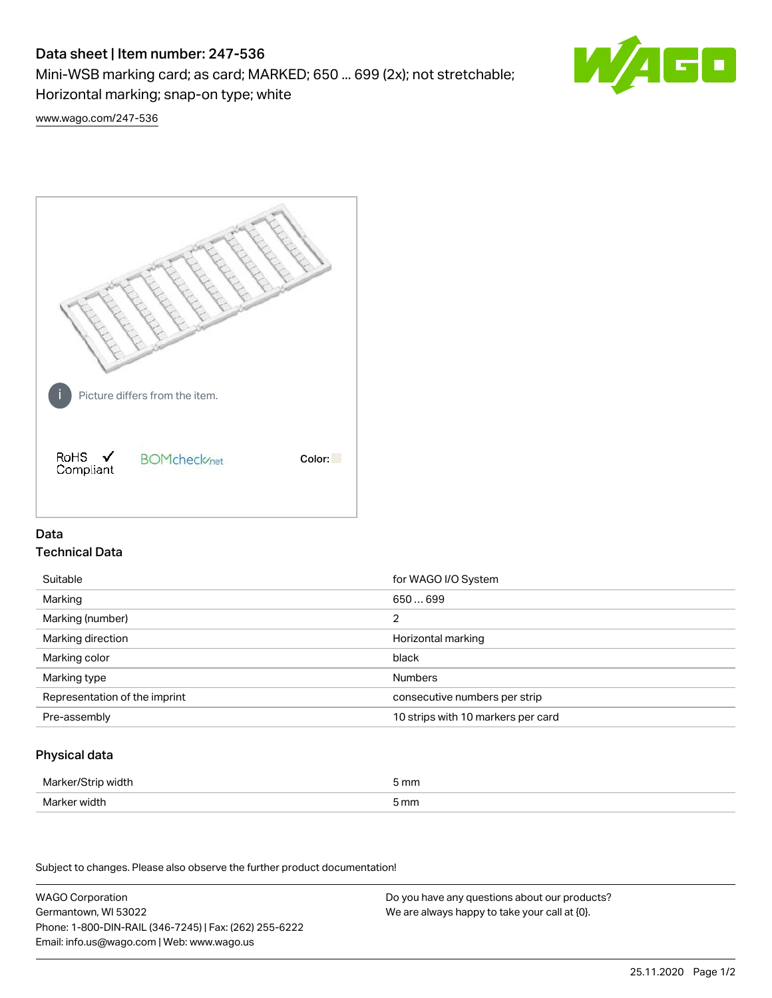# Data sheet | Item number: 247-536

Mini-WSB marking card; as card; MARKED; 650 ... 699 (2x); not stretchable;

Horizontal marking; snap-on type; white

60

[www.wago.com/247-536](http://www.wago.com/247-536)



## Data Technical Data

| Suitable                      | for WAGO I/O System                |
|-------------------------------|------------------------------------|
| Marking                       | 650699                             |
| Marking (number)              | 2                                  |
| Marking direction             | Horizontal marking                 |
| Marking color                 | black                              |
| Marking type                  | <b>Numbers</b>                     |
| Representation of the imprint | consecutive numbers per strip      |
| Pre-assembly                  | 10 strips with 10 markers per card |

## Physical data

| Marker/Strip width                   | i mm<br>$-$ |
|--------------------------------------|-------------|
| Marker width<br>$\sim$ $\sim$ $\sim$ | 5 mm        |

Subject to changes. Please also observe the further product documentation!

WAGO Corporation Germantown, WI 53022 Phone: 1-800-DIN-RAIL (346-7245) | Fax: (262) 255-6222 Email: info.us@wago.com | Web: www.wago.us Do you have any questions about our products? We are always happy to take your call at {0}.